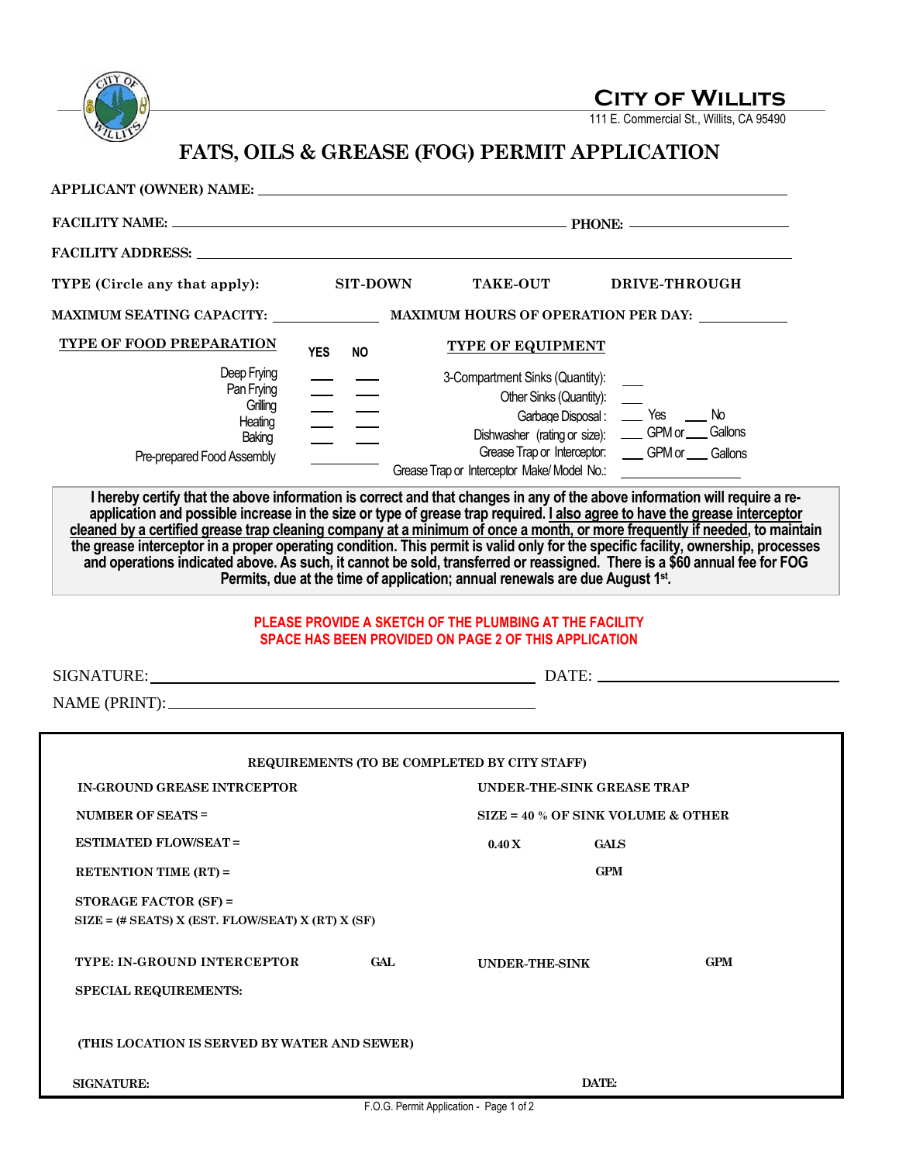

**CITY OF WILLITS** 

111 E. Commercial St., Willits, CA 95490

## **FATS, OILS & GREASE (FOG) PERMIT APPLICATION**

| TYPE (Circle any that apply):                                                                                                                                                                                                                                                                                                                                                                                                                                                                                                                                                                               | <b>SIT-DOWN</b> | <b>TAKE-OUT</b>                                                 | DRIVE-THROUGH                                                                                                                                         |  |
|-------------------------------------------------------------------------------------------------------------------------------------------------------------------------------------------------------------------------------------------------------------------------------------------------------------------------------------------------------------------------------------------------------------------------------------------------------------------------------------------------------------------------------------------------------------------------------------------------------------|-----------------|-----------------------------------------------------------------|-------------------------------------------------------------------------------------------------------------------------------------------------------|--|
|                                                                                                                                                                                                                                                                                                                                                                                                                                                                                                                                                                                                             |                 |                                                                 |                                                                                                                                                       |  |
| TYPE OF FOOD PREPARATION<br><b>YES</b>                                                                                                                                                                                                                                                                                                                                                                                                                                                                                                                                                                      | <b>NO</b>       | <b>TYPE OF EQUIPMENT</b>                                        |                                                                                                                                                       |  |
| Deep Frying<br>Pan Frying<br>Grilling<br>Heating<br>Baking<br>Pre-prepared Food Assembly<br>I hereby certify that the above information is correct and that changes in any of the above information will require a re-                                                                                                                                                                                                                                                                                                                                                                                      | $\equiv \equiv$ | 3-Compartment Sinks (Quantity):<br>Other Sinks (Quantity): ____ | Garbage Disposal: _____ Yes _____ No<br>Dishwasher (rating or size): ____ GPM or ___ Gallons<br>Grease Trap or Interceptor: _____ GPM or ____ Gallons |  |
| application and possible increase in the size or type of grease trap required. I also agree to have the grease interceptor<br>cleaned by a certified grease trap cleaning company at a minimum of once a month, or more frequently if needed, to maintain<br>the grease interceptor in a proper operating condition. This permit is valid only for the specific facility, ownership, processes<br>and operations indicated above. As such, it cannot be sold, transferred or reassigned. There is a \$60 annual fee for FOG<br>Permits, due at the time of application; annual renewals are due August 1st. |                 |                                                                 |                                                                                                                                                       |  |
| PLEASE PROVIDE A SKETCH OF THE PLUMBING AT THE FACILITY<br><b>SPACE HAS BEEN PROVIDED ON PAGE 2 OF THIS APPLICATION</b>                                                                                                                                                                                                                                                                                                                                                                                                                                                                                     |                 |                                                                 |                                                                                                                                                       |  |
|                                                                                                                                                                                                                                                                                                                                                                                                                                                                                                                                                                                                             |                 |                                                                 |                                                                                                                                                       |  |
|                                                                                                                                                                                                                                                                                                                                                                                                                                                                                                                                                                                                             |                 |                                                                 |                                                                                                                                                       |  |
| REQUIREMENTS (TO BE COMPLETED BY CITY STAFF)                                                                                                                                                                                                                                                                                                                                                                                                                                                                                                                                                                |                 |                                                                 |                                                                                                                                                       |  |
| IN-GROUND GREASE INTRCEPTOR<br>UNDER-THE-SINK GREASE TRAP                                                                                                                                                                                                                                                                                                                                                                                                                                                                                                                                                   |                 |                                                                 |                                                                                                                                                       |  |
| <b>NUMBER OF SEATS =</b>                                                                                                                                                                                                                                                                                                                                                                                                                                                                                                                                                                                    |                 |                                                                 | $SIZE = 40 % OF SINK VOLUME & OTHEN$                                                                                                                  |  |
| <b>ESTIMATED FLOW/SEAT=</b>                                                                                                                                                                                                                                                                                                                                                                                                                                                                                                                                                                                 |                 | $0.40 X$ GALS                                                   |                                                                                                                                                       |  |
| <b>RETENTION TIME (RT) =</b>                                                                                                                                                                                                                                                                                                                                                                                                                                                                                                                                                                                |                 |                                                                 | <b>GPM</b>                                                                                                                                            |  |
| STORAGE FACTOR (SF) =<br>$SIZE = (\# SEATS) X (EST. FLOW/SEAT) X (RT) X (SF)$                                                                                                                                                                                                                                                                                                                                                                                                                                                                                                                               |                 |                                                                 |                                                                                                                                                       |  |
| TYPE: IN-GROUND INTERCEPTOR                                                                                                                                                                                                                                                                                                                                                                                                                                                                                                                                                                                 | GAL             | UNDER-THE-SINK                                                  | <b>GPM</b>                                                                                                                                            |  |
| <b>SPECIAL REQUIREMENTS:</b>                                                                                                                                                                                                                                                                                                                                                                                                                                                                                                                                                                                |                 |                                                                 |                                                                                                                                                       |  |
| (THIS LOCATION IS SERVED BY WATER AND SEWER)                                                                                                                                                                                                                                                                                                                                                                                                                                                                                                                                                                |                 |                                                                 |                                                                                                                                                       |  |
| <b>SIGNATURE:</b>                                                                                                                                                                                                                                                                                                                                                                                                                                                                                                                                                                                           |                 |                                                                 | DATE:                                                                                                                                                 |  |